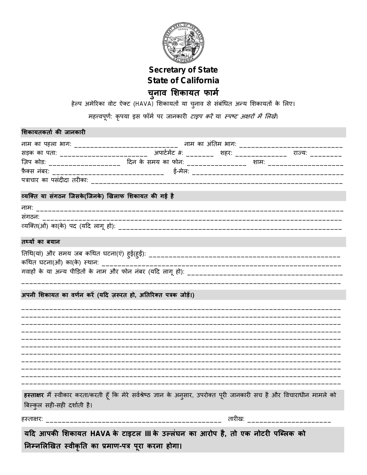

**Secretary of State** 

**State of California** 

चुनाव शिकायत फार्म<br>हेल्प अमेरिका वोट ऐक्ट (HAVA) शिकायतों या चुनाव से संबंधित अन्य शिकायतों के लिए।

महत्त्वपूर्ण: कृपया इस फॉर्म पर जानकारी *टाइप करें* या *स्पष्ट अक्षरों में लिखें*।

| शिकायतकर्ता की जानकारी                                                                                                                                          |  |                                                                                                                       |  |  |  |  |  |  |
|-----------------------------------------------------------------------------------------------------------------------------------------------------------------|--|-----------------------------------------------------------------------------------------------------------------------|--|--|--|--|--|--|
|                                                                                                                                                                 |  |                                                                                                                       |  |  |  |  |  |  |
|                                                                                                                                                                 |  |                                                                                                                       |  |  |  |  |  |  |
|                                                                                                                                                                 |  |                                                                                                                       |  |  |  |  |  |  |
|                                                                                                                                                                 |  |                                                                                                                       |  |  |  |  |  |  |
|                                                                                                                                                                 |  |                                                                                                                       |  |  |  |  |  |  |
| व्यक्ति या संगठन जिसके(जिनके) खिलाफ शिकायत की गई है                                                                                                             |  |                                                                                                                       |  |  |  |  |  |  |
|                                                                                                                                                                 |  |                                                                                                                       |  |  |  |  |  |  |
|                                                                                                                                                                 |  |                                                                                                                       |  |  |  |  |  |  |
|                                                                                                                                                                 |  |                                                                                                                       |  |  |  |  |  |  |
| तथ्यों का बयान                                                                                                                                                  |  |                                                                                                                       |  |  |  |  |  |  |
| कथित घटना(ओं) का(के) स्थान:                                                                                                                                     |  |                                                                                                                       |  |  |  |  |  |  |
| अपनी शिकायत का वर्णन करें (यदि ज़रूरत हो, अतिरिक्त पत्रक जोड़ें।)                                                                                               |  |                                                                                                                       |  |  |  |  |  |  |
|                                                                                                                                                                 |  |                                                                                                                       |  |  |  |  |  |  |
|                                                                                                                                                                 |  |                                                                                                                       |  |  |  |  |  |  |
|                                                                                                                                                                 |  |                                                                                                                       |  |  |  |  |  |  |
| ,我们也不能在这里的,我们也不能在这里的时候,我们也不能不能不能不能不能不能不能不能不能不能不能不能不能不能。""我们的是我们的,我们也不能不能不能不能不能不能                                                                                |  | <u> 1989 - Johann Stoff, deutscher Stoff, der Stoff, der Stoff, der Stoff, der Stoff, der Stoff, der Stoff, der S</u> |  |  |  |  |  |  |
|                                                                                                                                                                 |  |                                                                                                                       |  |  |  |  |  |  |
|                                                                                                                                                                 |  |                                                                                                                       |  |  |  |  |  |  |
|                                                                                                                                                                 |  |                                                                                                                       |  |  |  |  |  |  |
| <b>हस्ताक्षर</b> मैं स्वीकार करता/करती हूँ कि मेरे सर्वश्रेष्ठ ज्ञान के अनुसार, उपरोक्त पूरी जानकारी सच है और विचाराधीन मामले को<br>बिल्कुल सही-सही दर्शाती है। |  |                                                                                                                       |  |  |  |  |  |  |
|                                                                                                                                                                 |  |                                                                                                                       |  |  |  |  |  |  |
| यदि आपकी शिकायत HAVA के टाइटल III के उल्लंघन का आरोप है, तो एक नोटरी पब्लिक को<br>निम्नलिखित स्वीकृति का प्रमाण-पत्र पूरा करना होगा।                            |  |                                                                                                                       |  |  |  |  |  |  |